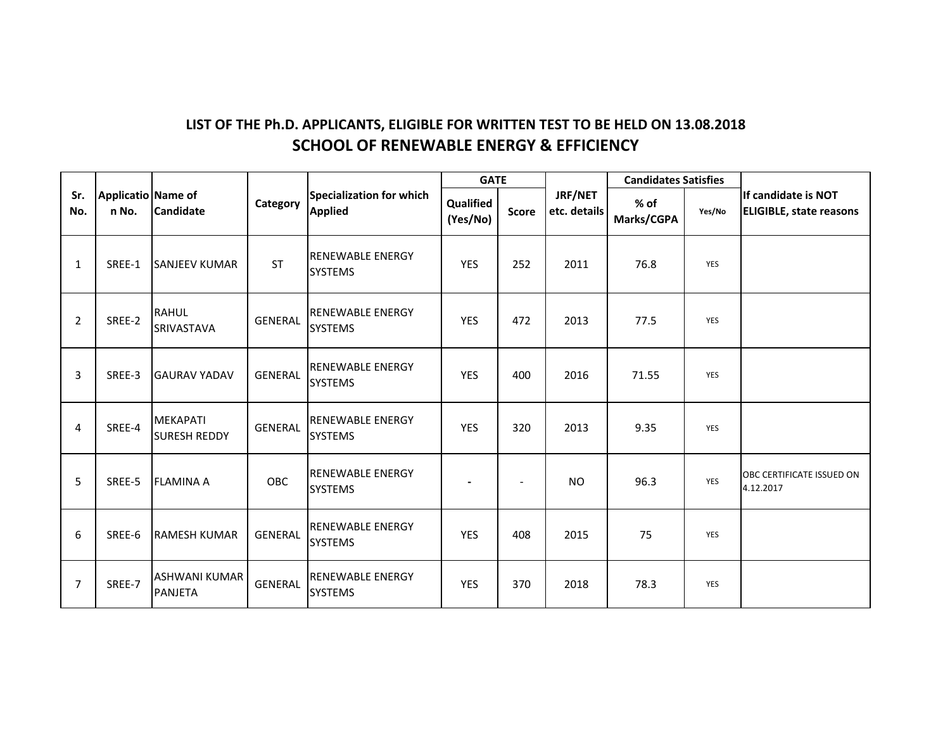## **LIST OF THE Ph.D. APPLICANTS, ELIGIBLE FOR WRITTEN TEST TO BE HELD ON 13.08.2018 SCHOOL OF RENEWABLE ENERGY & EFFICIENCY**

| Sr.<br>No.     | <b>Applicatio Name of</b><br>n No. | <b>Candidate</b>                       | Category       | <b>Specialization for which</b><br><b>Applied</b> | <b>GATE</b>           |                          |                         | <b>Candidates Satisfies</b> |            |                                                        |
|----------------|------------------------------------|----------------------------------------|----------------|---------------------------------------------------|-----------------------|--------------------------|-------------------------|-----------------------------|------------|--------------------------------------------------------|
|                |                                    |                                        |                |                                                   | Qualified<br>(Yes/No) | <b>Score</b>             | JRF/NET<br>etc. details | $%$ of<br>Marks/CGPA        | Yes/No     | lIf candidate is NOT<br><b>ELIGIBLE, state reasons</b> |
| $\mathbf{1}$   | SREE-1                             | <b>SANJEEV KUMAR</b>                   | <b>ST</b>      | <b>RENEWABLE ENERGY</b><br><b>SYSTEMS</b>         | <b>YES</b>            | 252                      | 2011                    | 76.8                        | <b>YES</b> |                                                        |
| $\overline{2}$ | SREE-2                             | <b>RAHUL</b><br>SRIVASTAVA             | <b>GENERAL</b> | RENEWABLE ENERGY<br><b>SYSTEMS</b>                | <b>YES</b>            | 472                      | 2013                    | 77.5                        | YES        |                                                        |
| 3              | SREE-3                             | <b>GAURAV YADAV</b>                    | <b>GENERAL</b> | <b>RENEWABLE ENERGY</b><br><b>SYSTEMS</b>         | <b>YES</b>            | 400                      | 2016                    | 71.55                       | YES        |                                                        |
| 4              | SREE-4                             | <b>MEKAPATI</b><br><b>SURESH REDDY</b> | <b>GENERAL</b> | <b>RENEWABLE ENERGY</b><br><b>SYSTEMS</b>         | <b>YES</b>            | 320                      | 2013                    | 9.35                        | YES        |                                                        |
| 5              | SREE-5                             | <b>FLAMINA A</b>                       | OBC            | <b>RENEWABLE ENERGY</b><br><b>SYSTEMS</b>         |                       | $\overline{\phantom{a}}$ | <b>NO</b>               | 96.3                        | <b>YES</b> | OBC CERTIFICATE ISSUED ON<br>4.12.2017                 |
| 6              | SREE-6                             | <b>RAMESH KUMAR</b>                    | <b>GENERAL</b> | RENEWABLE ENERGY<br><b>SYSTEMS</b>                | <b>YES</b>            | 408                      | 2015                    | 75                          | YES        |                                                        |
| 7              | SREE-7                             | <b>ASHWANI KUMAR</b><br><b>PANJETA</b> | <b>GENERAL</b> | <b>RENEWABLE ENERGY</b><br><b>SYSTEMS</b>         | <b>YES</b>            | 370                      | 2018                    | 78.3                        | <b>YES</b> |                                                        |